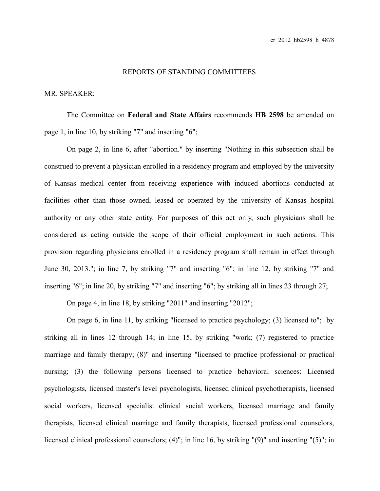## REPORTS OF STANDING COMMITTEES

## MR. SPEAKER:

The Committee on **Federal and State Affairs** recommends **HB 2598** be amended on page 1, in line 10, by striking "7" and inserting "6";

On page 2, in line 6, after "abortion." by inserting "Nothing in this subsection shall be construed to prevent a physician enrolled in a residency program and employed by the university of Kansas medical center from receiving experience with induced abortions conducted at facilities other than those owned, leased or operated by the university of Kansas hospital authority or any other state entity. For purposes of this act only, such physicians shall be considered as acting outside the scope of their official employment in such actions. This provision regarding physicians enrolled in a residency program shall remain in effect through June 30, 2013."; in line 7, by striking "7" and inserting "6"; in line 12, by striking "7" and inserting "6"; in line 20, by striking "7" and inserting "6"; by striking all in lines 23 through 27;

On page 4, in line 18, by striking "2011" and inserting "2012";

On page 6, in line 11, by striking "licensed to practice psychology; (3) licensed to"; by striking all in lines 12 through 14; in line 15, by striking "work; (7) registered to practice marriage and family therapy; (8)" and inserting "licensed to practice professional or practical nursing; (3) the following persons licensed to practice behavioral sciences: Licensed psychologists, licensed master's level psychologists, licensed clinical psychotherapists, licensed social workers, licensed specialist clinical social workers, licensed marriage and family therapists, licensed clinical marriage and family therapists, licensed professional counselors, licensed clinical professional counselors; (4)"; in line 16, by striking "(9)" and inserting "(5)"; in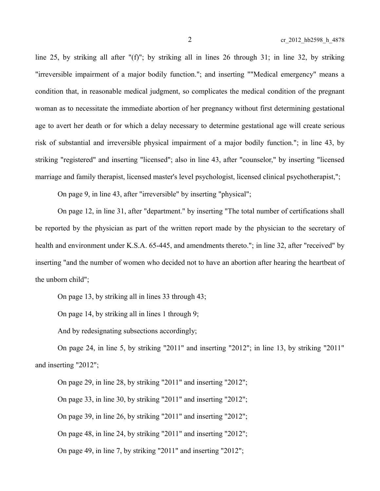line 25, by striking all after "(f)"; by striking all in lines 26 through 31; in line 32, by striking "irreversible impairment of a major bodily function."; and inserting ""Medical emergency" means a condition that, in reasonable medical judgment, so complicates the medical condition of the pregnant woman as to necessitate the immediate abortion of her pregnancy without first determining gestational age to avert her death or for which a delay necessary to determine gestational age will create serious risk of substantial and irreversible physical impairment of a major bodily function."; in line 43, by striking "registered" and inserting "licensed"; also in line 43, after "counselor," by inserting "licensed marriage and family therapist, licensed master's level psychologist, licensed clinical psychotherapist,";

On page 9, in line 43, after "irreversible" by inserting "physical";

On page 12, in line 31, after "department." by inserting "The total number of certifications shall be reported by the physician as part of the written report made by the physician to the secretary of health and environment under K.S.A. 65-445, and amendments thereto."; in line 32, after "received" by inserting "and the number of women who decided not to have an abortion after hearing the heartbeat of the unborn child";

On page 13, by striking all in lines 33 through 43;

On page 14, by striking all in lines 1 through 9;

And by redesignating subsections accordingly;

On page 24, in line 5, by striking "2011" and inserting "2012"; in line 13, by striking "2011" and inserting "2012";

On page 29, in line 28, by striking "2011" and inserting "2012";

On page 33, in line 30, by striking "2011" and inserting "2012";

On page 39, in line 26, by striking "2011" and inserting "2012";

On page 48, in line 24, by striking "2011" and inserting "2012";

On page 49, in line 7, by striking "2011" and inserting "2012";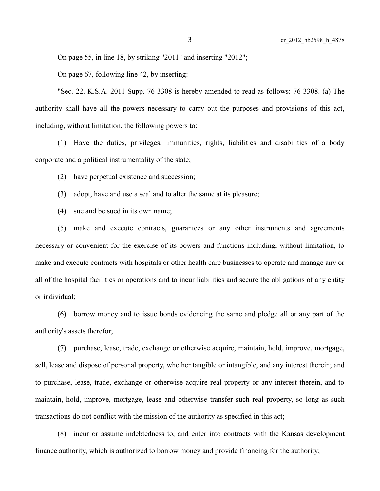On page 55, in line 18, by striking "2011" and inserting "2012";

On page 67, following line 42, by inserting:

"Sec. 22. K.S.A. 2011 Supp. 76-3308 is hereby amended to read as follows: 76-3308. (a) The authority shall have all the powers necessary to carry out the purposes and provisions of this act, including, without limitation, the following powers to:

(1) Have the duties, privileges, immunities, rights, liabilities and disabilities of a body corporate and a political instrumentality of the state;

(2) have perpetual existence and succession;

(3) adopt, have and use a seal and to alter the same at its pleasure;

(4) sue and be sued in its own name;

(5) make and execute contracts, guarantees or any other instruments and agreements necessary or convenient for the exercise of its powers and functions including, without limitation, to make and execute contracts with hospitals or other health care businesses to operate and manage any or all of the hospital facilities or operations and to incur liabilities and secure the obligations of any entity or individual;

(6) borrow money and to issue bonds evidencing the same and pledge all or any part of the authority's assets therefor;

(7) purchase, lease, trade, exchange or otherwise acquire, maintain, hold, improve, mortgage, sell, lease and dispose of personal property, whether tangible or intangible, and any interest therein; and to purchase, lease, trade, exchange or otherwise acquire real property or any interest therein, and to maintain, hold, improve, mortgage, lease and otherwise transfer such real property, so long as such transactions do not conflict with the mission of the authority as specified in this act;

(8) incur or assume indebtedness to, and enter into contracts with the Kansas development finance authority, which is authorized to borrow money and provide financing for the authority;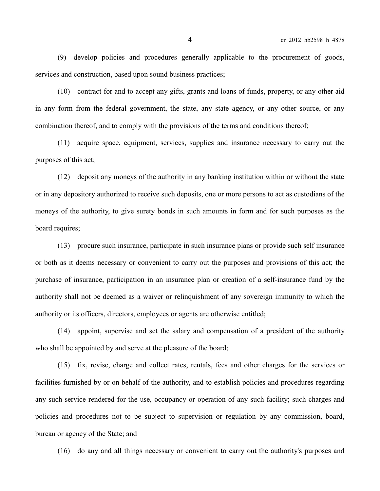(9) develop policies and procedures generally applicable to the procurement of goods, services and construction, based upon sound business practices;

(10) contract for and to accept any gifts, grants and loans of funds, property, or any other aid in any form from the federal government, the state, any state agency, or any other source, or any combination thereof, and to comply with the provisions of the terms and conditions thereof;

(11) acquire space, equipment, services, supplies and insurance necessary to carry out the purposes of this act;

(12) deposit any moneys of the authority in any banking institution within or without the state or in any depository authorized to receive such deposits, one or more persons to act as custodians of the moneys of the authority, to give surety bonds in such amounts in form and for such purposes as the board requires;

(13) procure such insurance, participate in such insurance plans or provide such self insurance or both as it deems necessary or convenient to carry out the purposes and provisions of this act; the purchase of insurance, participation in an insurance plan or creation of a self-insurance fund by the authority shall not be deemed as a waiver or relinquishment of any sovereign immunity to which the authority or its officers, directors, employees or agents are otherwise entitled;

(14) appoint, supervise and set the salary and compensation of a president of the authority who shall be appointed by and serve at the pleasure of the board;

(15) fix, revise, charge and collect rates, rentals, fees and other charges for the services or facilities furnished by or on behalf of the authority, and to establish policies and procedures regarding any such service rendered for the use, occupancy or operation of any such facility; such charges and policies and procedures not to be subject to supervision or regulation by any commission, board, bureau or agency of the State; and

(16) do any and all things necessary or convenient to carry out the authority's purposes and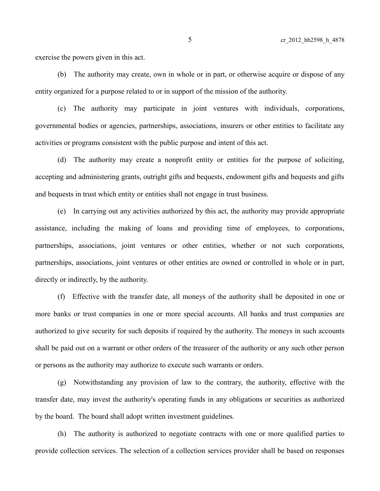exercise the powers given in this act.

(b) The authority may create, own in whole or in part, or otherwise acquire or dispose of any entity organized for a purpose related to or in support of the mission of the authority.

(c) The authority may participate in joint ventures with individuals, corporations, governmental bodies or agencies, partnerships, associations, insurers or other entities to facilitate any activities or programs consistent with the public purpose and intent of this act.

(d) The authority may create a nonprofit entity or entities for the purpose of soliciting, accepting and administering grants, outright gifts and bequests, endowment gifts and bequests and gifts and bequests in trust which entity or entities shall not engage in trust business.

(e) In carrying out any activities authorized by this act, the authority may provide appropriate assistance, including the making of loans and providing time of employees, to corporations, partnerships, associations, joint ventures or other entities, whether or not such corporations, partnerships, associations, joint ventures or other entities are owned or controlled in whole or in part, directly or indirectly, by the authority.

(f) Effective with the transfer date, all moneys of the authority shall be deposited in one or more banks or trust companies in one or more special accounts. All banks and trust companies are authorized to give security for such deposits if required by the authority. The moneys in such accounts shall be paid out on a warrant or other orders of the treasurer of the authority or any such other person or persons as the authority may authorize to execute such warrants or orders.

(g) Notwithstanding any provision of law to the contrary, the authority, effective with the transfer date, may invest the authority's operating funds in any obligations or securities as authorized by the board. The board shall adopt written investment guidelines.

(h) The authority is authorized to negotiate contracts with one or more qualified parties to provide collection services. The selection of a collection services provider shall be based on responses